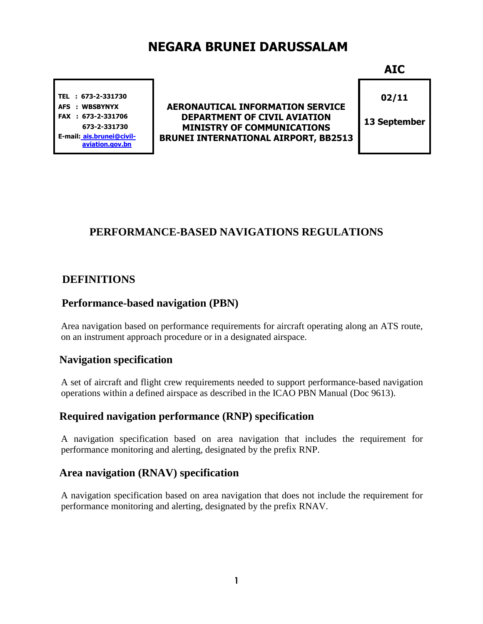# NEGARA BRUNEI DARUSSALAM

TEL : 673-2-331730 AFS : WBSBYNYX FAX : 673-2-331706 673-2-331730 E-mail: ais.brunei@civilaviation.gov.bn

AERONAUTICAL INFORMATION SERVICE DEPARTMENT OF CIVIL AVIATION MINISTRY OF COMMUNICATIONS BRUNEI INTERNATIONAL AIRPORT, BB2513 AIC

02/11

13 September

# **PERFORMANCE-BASED NAVIGATIONS REGULATIONS**

# **DEFINITIONS**

#### **Performance-based navigation (PBN)**

Area navigation based on performance requirements for aircraft operating along an ATS route, on an instrument approach procedure or in a designated airspace.

# **Navigation specification**

A set of aircraft and flight crew requirements needed to support performance-based navigation operations within a defined airspace as described in the ICAO PBN Manual (Doc 9613).

#### **Required navigation performance (RNP) specification**

A navigation specification based on area navigation that includes the requirement for performance monitoring and alerting, designated by the prefix RNP.

# **Area navigation (RNAV) specification**

A navigation specification based on area navigation that does not include the requirement for performance monitoring and alerting, designated by the prefix RNAV.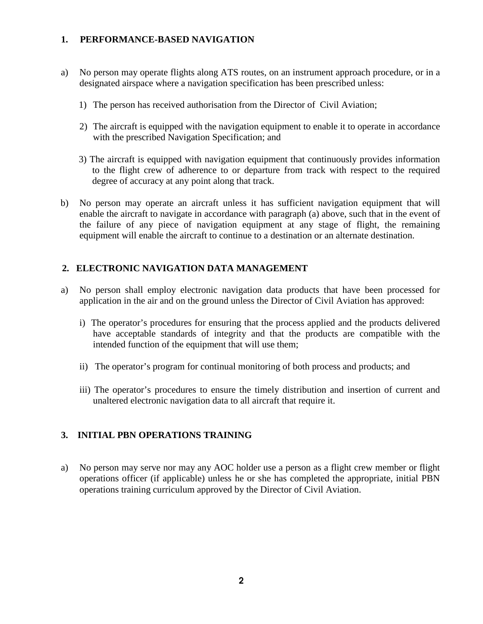#### **1. PERFORMANCE-BASED NAVIGATION**

- a) No person may operate flights along ATS routes, on an instrument approach procedure, or in a designated airspace where a navigation specification has been prescribed unless:
	- 1) The person has received authorisation from the Director of Civil Aviation;
	- 2) The aircraft is equipped with the navigation equipment to enable it to operate in accordance with the prescribed Navigation Specification; and
	- 3) The aircraft is equipped with navigation equipment that continuously provides information to the flight crew of adherence to or departure from track with respect to the required degree of accuracy at any point along that track.
- b) No person may operate an aircraft unless it has sufficient navigation equipment that will enable the aircraft to navigate in accordance with paragraph (a) above, such that in the event of the failure of any piece of navigation equipment at any stage of flight, the remaining equipment will enable the aircraft to continue to a destination or an alternate destination.

#### **2. ELECTRONIC NAVIGATION DATA MANAGEMENT**

- a) No person shall employ electronic navigation data products that have been processed for application in the air and on the ground unless the Director of Civil Aviation has approved:
	- i) The operator's procedures for ensuring that the process applied and the products delivered have acceptable standards of integrity and that the products are compatible with the intended function of the equipment that will use them;
	- ii) The operator's program for continual monitoring of both process and products; and
	- iii) The operator's procedures to ensure the timely distribution and insertion of current and unaltered electronic navigation data to all aircraft that require it.

#### **3. INITIAL PBN OPERATIONS TRAINING**

a) No person may serve nor may any AOC holder use a person as a flight crew member or flight operations officer (if applicable) unless he or she has completed the appropriate, initial PBN operations training curriculum approved by the Director of Civil Aviation.